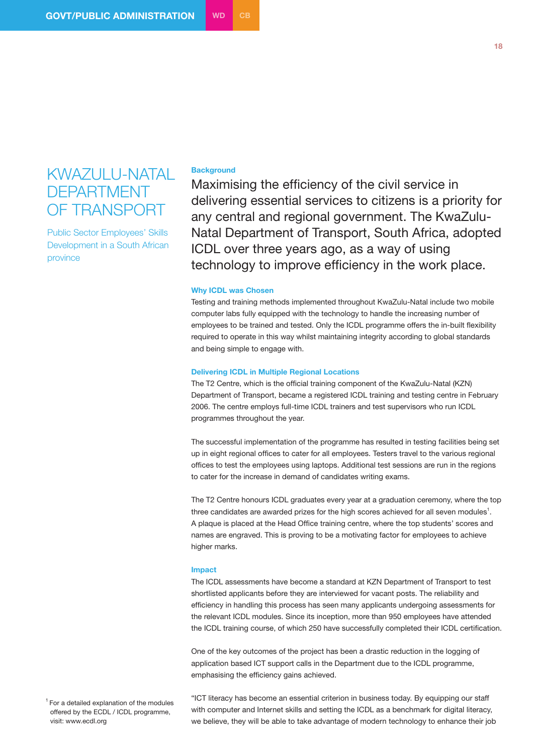# KWAZULU-NATAL DEPARTMENT OF TRANSPORT

Public Sector Employees' Skills Development in a South African province

## **Background**

Maximising the efficiency of the civil service in delivering essential services to citizens is a priority for any central and regional government. The KwaZulu-Natal Department of Transport, South Africa, adopted ICDL over three years ago, as a way of using technology to improve efficiency in the work place.

### **Why ICDL was Chosen**

Testing and training methods implemented throughout KwaZulu-Natal include two mobile computer labs fully equipped with the technology to handle the increasing number of employees to be trained and tested. Only the ICDL programme offers the in-built flexibility required to operate in this way whilst maintaining integrity according to global standards and being simple to engage with.

#### **Delivering ICDL in Multiple Regional Locations**

The T2 Centre, which is the official training component of the KwaZulu-Natal (KZN) Department of Transport, became a registered ICDL training and testing centre in February 2006. The centre employs full-time ICDL trainers and test supervisors who run ICDL programmes throughout the year.

The successful implementation of the programme has resulted in testing facilities being set up in eight regional offices to cater for all employees. Testers travel to the various regional offices to test the employees using laptops. Additional test sessions are run in the regions to cater for the increase in demand of candidates writing exams.

The T2 Centre honours ICDL graduates every year at a graduation ceremony, where the top three candidates are awarded prizes for the high scores achieved for all seven modules<sup>1</sup>. A plaque is placed at the Head Office training centre, where the top students' scores and names are engraved. This is proving to be a motivating factor for employees to achieve higher marks.

#### **Impact**

The ICDL assessments have become a standard at KZN Department of Transport to test shortlisted applicants before they are interviewed for vacant posts. The reliability and efficiency in handling this process has seen many applicants undergoing assessments for the relevant ICDL modules. Since its inception, more than 950 employees have attended the ICDL training course, of which 250 have successfully completed their ICDL certification.

One of the key outcomes of the project has been a drastic reduction in the logging of application based ICT support calls in the Department due to the ICDL programme, emphasising the efficiency gains achieved.

 $1$  For a detailed explanation of the modules offered by the ECDL / ICDL programme, visit: www.ecdl.org

"ICT literacy has become an essential criterion in business today. By equipping our staff with computer and Internet skills and setting the ICDL as a benchmark for digital literacy, we believe, they will be able to take advantage of modern technology to enhance their job